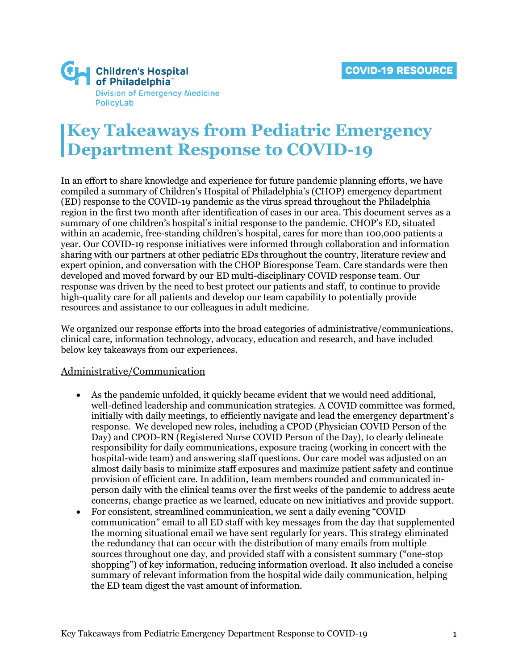

# **Key Takeaways from Pediatric Emergency Department Response to COVID-19**

In an effort to share knowledge and experience for future pandemic planning efforts, we have compiled a summary of Children's Hospital of Philadelphia's (CHOP) emergency department (ED) response to the COVID-19 pandemic as the virus spread throughout the Philadelphia region in the first two month after identification of cases in our area. This document serves as a summary of one children's hospital's initial response to the pandemic. CHOP's ED, situated within an academic, free-standing children's hospital, cares for more than 100,000 patients a year. Our COVID-19 response initiatives were informed through collaboration and information sharing with our partners at other pediatric EDs throughout the country, literature review and expert opinion, and conversation with the CHOP Bioresponse Team. Care standards were then developed and moved forward by our ED multi-disciplinary COVID response team. Our response was driven by the need to best protect our patients and staff, to continue to provide high-quality care for all patients and develop our team capability to potentially provide resources and assistance to our colleagues in adult medicine.

We organized our response efforts into the broad categories of administrative/communications, clinical care, information technology, advocacy, education and research, and have included below key takeaways from our experiences.

### Administrative/Communication

- As the pandemic unfolded, it quickly became evident that we would need additional, well-defined leadership and communication strategies. A COVID committee was formed, initially with daily meetings, to efficiently navigate and lead the emergency department's response. We developed new roles, including a CPOD (Physician COVID Person of the Day) and CPOD-RN (Registered Nurse COVID Person of the Day), to clearly delineate responsibility for daily communications, exposure tracing (working in concert with the hospital-wide team) and answering staff questions. Our care model was adjusted on an almost daily basis to minimize staff exposures and maximize patient safety and continue provision of efficient care. In addition, team members rounded and communicated inperson daily with the clinical teams over the first weeks of the pandemic to address acute concerns, change practice as we learned, educate on new initiatives and provide support.
- For consistent, streamlined communication, we sent a daily evening "COVID" communication" email to all ED staff with key messages from the day that supplemented the morning situational email we have sent regularly for years. This strategy eliminated the redundancy that can occur with the distribution of many emails from multiple sources throughout one day, and provided staff with a consistent summary ("one-stop shopping") of key information, reducing information overload. It also included a concise summary of relevant information from the hospital wide daily communication, helping the ED team digest the vast amount of information.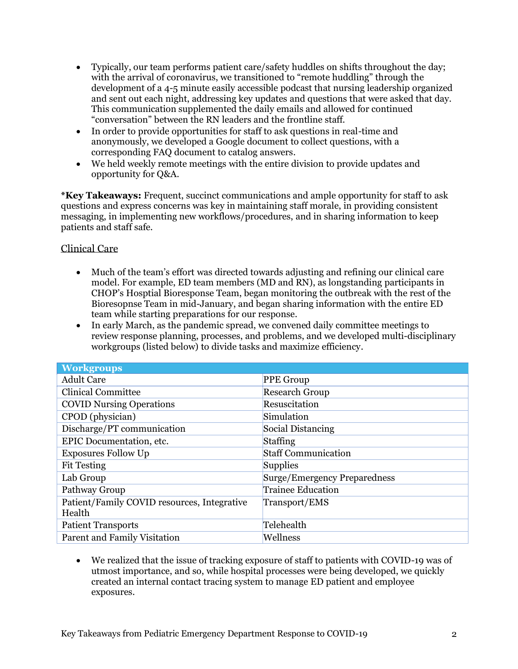- Typically, our team performs patient care/safety huddles on shifts throughout the day; with the arrival of coronavirus, we transitioned to "remote huddling" through the development of a 4-5 minute easily accessible podcast that nursing leadership organized and sent out each night, addressing key updates and questions that were asked that day. This communication supplemented the daily emails and allowed for continued "conversation" between the RN leaders and the frontline staff.
- In order to provide opportunities for staff to ask questions in real-time and anonymously, we developed a Google document to collect questions, with a corresponding FAQ document to catalog answers.
- We held weekly remote meetings with the entire division to provide updates and opportunity for Q&A.

**\*Key Takeaways:** Frequent, succinct communications and ample opportunity for staff to ask questions and express concerns was key in maintaining staff morale, in providing consistent messaging, in implementing new workflows/procedures, and in sharing information to keep patients and staff safe.

# Clinical Care

- Much of the team's effort was directed towards adjusting and refining our clinical care model. For example, ED team members (MD and RN), as longstanding participants in CHOP's Hosptial Bioresponse Team, began monitoring the outbreak with the rest of the Bioresopnse Team in mid-January, and began sharing information with the entire ED team while starting preparations for our response.
- In early March, as the pandemic spread, we convened daily committee meetings to review response planning, processes, and problems, and we developed multi-disciplinary workgroups (listed below) to divide tasks and maximize efficiency.

| <b>Workgroups</b>                                     |                              |
|-------------------------------------------------------|------------------------------|
| <b>Adult Care</b>                                     | <b>PPE Group</b>             |
| <b>Clinical Committee</b>                             | <b>Research Group</b>        |
| <b>COVID Nursing Operations</b>                       | Resuscitation                |
| CPOD (physician)                                      | Simulation                   |
| Discharge/PT communication                            | Social Distancing            |
| EPIC Documentation, etc.                              | Staffing                     |
| <b>Exposures Follow Up</b>                            | <b>Staff Communication</b>   |
| <b>Fit Testing</b>                                    | Supplies                     |
| Lab Group                                             | Surge/Emergency Preparedness |
| Pathway Group                                         | <b>Trainee Education</b>     |
| Patient/Family COVID resources, Integrative<br>Health | Transport/EMS                |
| <b>Patient Transports</b>                             | Telehealth                   |
| Parent and Family Visitation                          | Wellness                     |

• We realized that the issue of tracking exposure of staff to patients with COVID-19 was of utmost importance, and so, while hospital processes were being developed, we quickly created an internal contact tracing system to manage ED patient and employee exposures.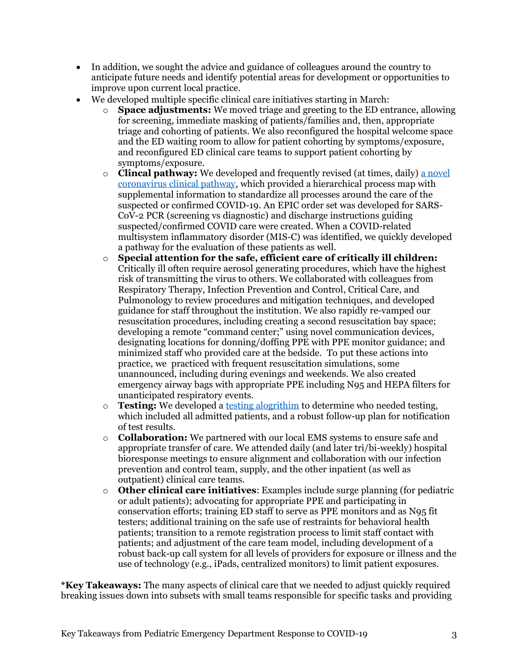- In addition, we sought the advice and guidance of colleagues around the country to anticipate future needs and identify potential areas for development or opportunities to improve upon current local practice.
- We developed multiple specific clinical care initiatives starting in March:
	- o **Space adjustments:** We moved triage and greeting to the ED entrance, allowing for screening, immediate masking of patients/families and, then, appropriate triage and cohorting of patients. We also reconfigured the hospital welcome space and the ED waiting room to allow for patient cohorting by symptoms/exposure, and reconfigured ED clinical care teams to support patient cohorting by symptoms/exposure.
	- o **Clincal pathway:** We developed and frequently revised (at times, daily) [a novel](https://www.chop.edu/clinical-pathway/2019-novel-coronavirus-emergency-clinical-pathway)  [coronavirus clinical pathway,](https://www.chop.edu/clinical-pathway/2019-novel-coronavirus-emergency-clinical-pathway) which provided a hierarchical process map with supplemental information to standardize all processes around the care of the suspected or confirmed COVID-19. An EPIC order set was developed for SARS-CoV-2 PCR (screening vs diagnostic) and discharge instructions guiding suspected/confirmed COVID care were created. When a COVID-related multisystem inflammatory disorder (MIS-C) was identified, we quickly developed a pathway for the evaluation of these patients as well.
	- o **Special attention for the safe, efficient care of critically ill children:**  Critically ill often require aerosol generating procedures, which have the highest risk of transmitting the virus to others. We collaborated with colleagues from Respiratory Therapy, Infection Prevention and Control, Critical Care, and Pulmonology to review procedures and mitigation techniques, and developed guidance for staff throughout the institution. We also rapidly re-vamped our resuscitation procedures, including creating a second resuscitation bay space; developing a remote "command center;" using novel communication devices, designating locations for donning/doffing PPE with PPE monitor guidance; and minimized staff who provided care at the bedside. To put these actions into practice, we practiced with frequent resuscitation simulations, some unannounced, including during evenings and weekends. We also created emergency airway bags with appropriate PPE including N95 and HEPA filters for unanticipated respiratory events.
	- o **Testing:** We developed a [testing alogrithim](https://www.chop.edu/clinical-pathway/2019-novel-coronavirus-emergency-clinical-pathway) to determine who needed testing, which included all admitted patients, and a robust follow-up plan for notification of test results.
	- o **Collaboration:** We partnered with our local EMS systems to ensure safe and appropriate transfer of care. We attended daily (and later tri/bi-weekly) hospital bioresponse meetings to ensure alignment and collaboration with our infection prevention and control team, supply, and the other inpatient (as well as outpatient) clinical care teams.
	- o **Other clinical care initiatives**: Examples include surge planning (for pediatric or adult patients); advocating for appropriate PPE and participating in conservation efforts; training ED staff to serve as PPE monitors and as N95 fit testers; additional training on the safe use of restraints for behavioral health patients; transition to a remote registration process to limit staff contact with patients; and adjustment of the care team model, including development of a robust back-up call system for all levels of providers for exposure or illness and the use of technology (e.g., iPads, centralized monitors) to limit patient exposures.

**\*Key Takeaways:** The many aspects of clinical care that we needed to adjust quickly required breaking issues down into subsets with small teams responsible for specific tasks and providing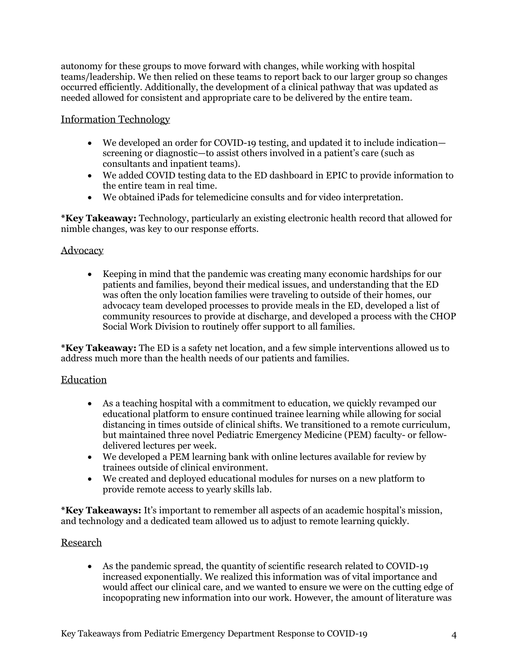autonomy for these groups to move forward with changes, while working with hospital teams/leadership. We then relied on these teams to report back to our larger group so changes occurred efficiently. Additionally, the development of a clinical pathway that was updated as needed allowed for consistent and appropriate care to be delivered by the entire team.

# Information Technology

- We developed an order for COVID-19 testing, and updated it to include indication screening or diagnostic—to assist others involved in a patient's care (such as consultants and inpatient teams).
- We added COVID testing data to the ED dashboard in EPIC to provide information to the entire team in real time.
- We obtained iPads for telemedicine consults and for video interpretation.

**\*Key Takeaway:** Technology, particularly an existing electronic health record that allowed for nimble changes, was key to our response efforts.

## Advocacy

• Keeping in mind that the pandemic was creating many economic hardships for our patients and families, beyond their medical issues, and understanding that the ED was often the only location families were traveling to outside of their homes, our advocacy team developed processes to provide meals in the ED, developed a list of community resources to provide at discharge, and developed a process with the CHOP Social Work Division to routinely offer support to all families.

**\*Key Takeaway:** The ED is a safety net location, and a few simple interventions allowed us to address much more than the health needs of our patients and families.

# Education

- As a teaching hospital with a commitment to education, we quickly revamped our educational platform to ensure continued trainee learning while allowing for social distancing in times outside of clinical shifts. We transitioned to a remote curriculum, but maintained three novel Pediatric Emergency Medicine (PEM) faculty- or fellowdelivered lectures per week.
- We developed a PEM learning bank with online lectures available for review by trainees outside of clinical environment.
- We created and deployed educational modules for nurses on a new platform to provide remote access to yearly skills lab.

**\*Key Takeaways:** It's important to remember all aspects of an academic hospital's mission, and technology and a dedicated team allowed us to adjust to remote learning quickly.

### Research

• As the pandemic spread, the quantity of scientific research related to COVID-19 increased exponentially. We realized this information was of vital importance and would affect our clinical care, and we wanted to ensure we were on the cutting edge of incopoprating new information into our work. However, the amount of literature was